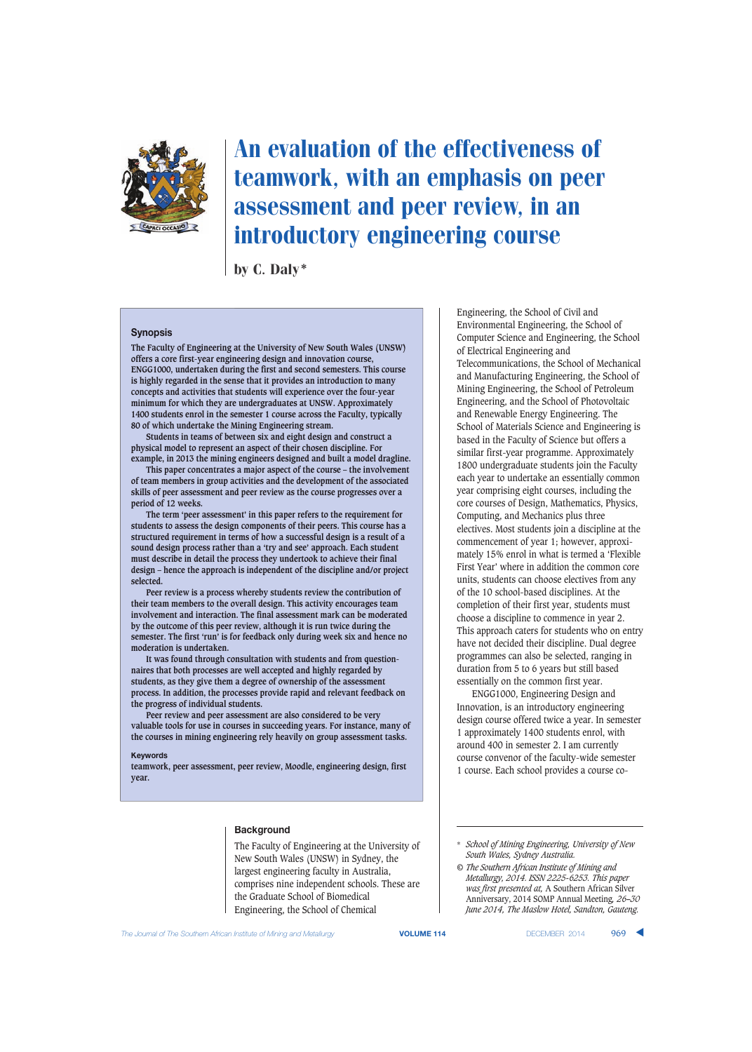

# An evaluation of the effectiveness of teamwork, with an emphasis on peer assessment and peer review, in an introductory engineering course

by C. Daly\*

#### **Synopsis**

**The Faculty of Engineering at the University of New South Wales (UNSW) offers a core first-year engineering design and innovation course, ENGG1000, undertaken during the first and second semesters. This course is highly regarded in the sense that it provides an introduction to many concepts and activities that students will experience over the four-year minimum for which they are undergraduates at UNSW. Approximately 1400 students enrol in the semester 1 course across the Faculty, typically 80 of which undertake the Mining Engineering stream.**

**Students in teams of between six and eight design and construct a physical model to represent an aspect of their chosen discipline. For example, in 2013 the mining engineers designed and built a model dragline.** 

**This paper concentrates a major aspect of the course – the involvement of team members in group activities and the development of the associated skills of peer assessment and peer review as the course progresses over a period of 12 weeks.**

**The term 'peer assessment' in this paper refers to the requirement for students to assess the design components of their peers. This course has a structured requirement in terms of how a successful design is a result of a sound design process rather than a 'try and see' approach. Each student must describe in detail the process they undertook to achieve their final design – hence the approach is independent of the discipline and/or project selected.**

**Peer review is a process whereby students review the contribution of their team members to the overall design. This activity encourages team involvement and interaction. The final assessment mark can be moderated by the outcome of this peer review, although it is run twice during the semester. The first 'run' is for feedback only during week six and hence no moderation is undertaken.**

**It was found through consultation with students and from questionnaires that both processes are well accepted and highly regarded by students, as they give them a degree of ownership of the assessment process. In addition, the processes provide rapid and relevant feedback on the progress of individual students.**

**Peer review and peer assessment are also considered to be very valuable tools for use in courses in succeeding years. For instance, many of the courses in mining engineering rely heavily on group assessment tasks.**

#### **Keywords**

**teamwork, peer assessment, peer review, Moodle, engineering design, first year.**

### **Background**

The Faculty of Engineering at the University of New South Wales (UNSW) in Sydney, the largest engineering faculty in Australia, comprises nine independent schools. These are the Graduate School of Biomedical Engineering, the School of Chemical

Engineering, the School of Civil and f Environmental Engineering, the School of Computer Science and Engineering, the School of Electrical Engineering and Telecommunications, the School of Mechanical and Manufacturing Engineering, the School of Mining Engineering, the School of Petroleum Engineering, and the School of Photovoltaic and Renewable Energy Engineering. The School of Materials Science and Engineering is based in the Faculty of Science but offers a similar first-year programme. Approximately 1800 undergraduate students join the Faculty each year to undertake an essentially common year comprising eight courses, including the core courses of Design, Mathematics, Physics, Computing, and Mechanics plus three electives. Most students join a discipline at the commencement of year 1; however, approximately 15% enrol in what is termed a 'Flexible First Year' where in addition the common core units, students can choose electives from any of the 10 school-based disciplines. At the completion of their first year, students must choose a discipline to commence in year 2. This approach caters for students who on entry have not decided their discipline. Dual degree programmes can also be selected, ranging in duration from 5 to 6 years but still based essentially on the common first year.

ENGG1000, Engineering Design and Innovation, is an introductory engineering design course offered twice a year. In semester 1 approximately 1400 students enrol, with around 400 in semester 2. I am currently course convenor of the faculty-wide semester 1 course. Each school provides a course co-

<sup>\*</sup> *School of Mining Engineering, University of New South Wales, Sydney Australia.*

*<sup>©</sup> The Southern African Institute of Mining and Metallurgy, 2014. ISSN 2225-6253. This paper was first presented at,* A Southern African Silver Anniversary, 2014 SOMP Annual Meeting*, 26–30 June 2014, The Maslow Hotel, Sandton, Gauteng.*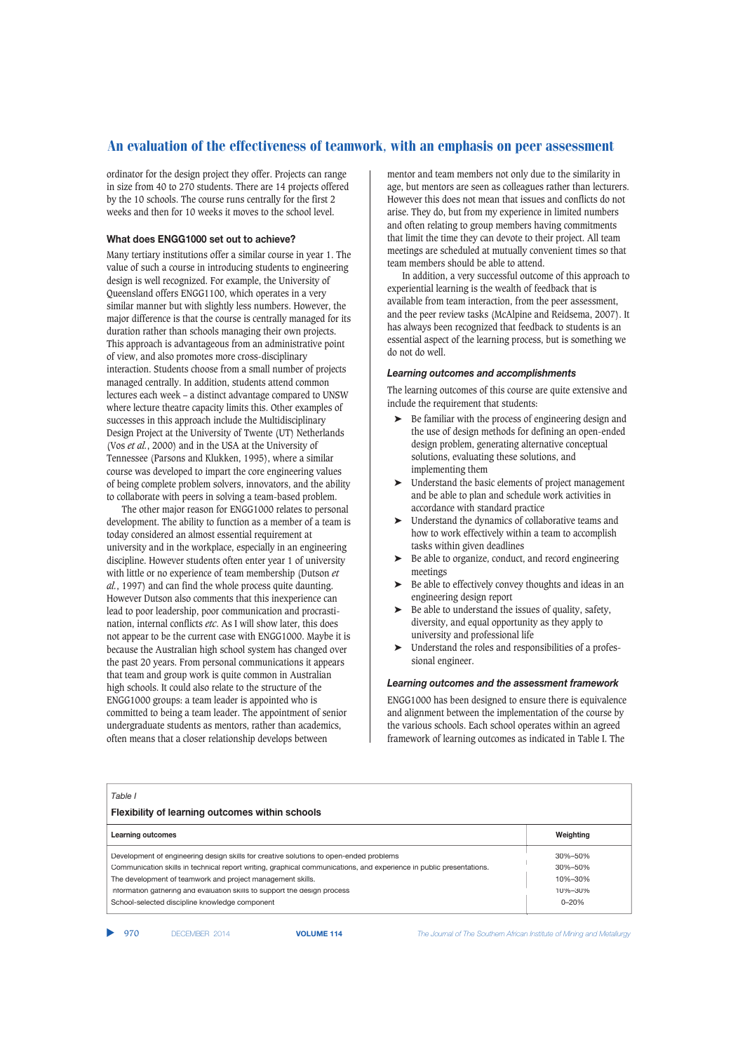ordinator for the design project they offer. Projects can range in size from 40 to 270 students. There are 14 projects offered by the 10 schools. The course runs centrally for the first 2 weeks and then for 10 weeks it moves to the school level.

### **What does ENGG1000 set out to achieve?**

Many tertiary institutions offer a similar course in year 1. The value of such a course in introducing students to engineering design is well recognized. For example, the University of Queensland offers ENGG1100, which operates in a very similar manner but with slightly less numbers. However, the major difference is that the course is centrally managed for its duration rather than schools managing their own projects. This approach is advantageous from an administrative point of view, and also promotes more cross-disciplinary interaction. Students choose from a small number of projects managed centrally. In addition, students attend common lectures each week – a distinct advantage compared to UNSW where lecture theatre capacity limits this. Other examples of successes in this approach include the Multidisciplinary Design Project at the University of Twente (UT) Netherlands (Vos *et al.*, 2000) and in the USA at the University of Tennessee (Parsons and Klukken, 1995), where a similar course was developed to impart the core engineering values of being complete problem solvers, innovators, and the ability to collaborate with peers in solving a team-based problem.

The other major reason for ENGG1000 relates to personal development. The ability to function as a member of a team is today considered an almost essential requirement at university and in the workplace, especially in an engineering discipline. However students often enter year 1 of university with little or no experience of team membership (Dutson *et al.*, 1997) and can find the whole process quite daunting. However Dutson also comments that this inexperience can lead to poor leadership, poor communication and procrastination, internal conflicts *etc*. As I will show later, this does not appear to be the current case with ENGG1000. Maybe it is because the Australian high school system has changed over the past 20 years. From personal communications it appears that team and group work is quite common in Australian high schools. It could also relate to the structure of the ENGG1000 groups: a team leader is appointed who is committed to being a team leader. The appointment of senior undergraduate students as mentors, rather than academics, often means that a closer relationship develops between

mentor and team members not only due to the similarity in age, but mentors are seen as colleagues rather than lecturers. However this does not mean that issues and conflicts do not arise. They do, but from my experience in limited numbers and often relating to group members having commitments that limit the time they can devote to their project. All team meetings are scheduled at mutually convenient times so that team members should be able to attend.

In addition, a very successful outcome of this approach to experiential learning is the wealth of feedback that is available from team interaction, from the peer assessment, and the peer review tasks (McAlpine and Reidsema, 2007). It has always been recognized that feedback to students is an essential aspect of the learning process, but is something we do not do well.

#### *Learning outcomes and accomplishments*

The learning outcomes of this course are quite extensive and include the requirement that students:

- Be familiar with the process of engineering design and the use of design methods for defining an open-ended design problem, generating alternative conceptual solutions, evaluating these solutions, and implementing them
- ➤ Understand the basic elements of project management and be able to plan and schedule work activities in accordance with standard practice
- ➤ Understand the dynamics of collaborative teams and how to work effectively within a team to accomplish tasks within given deadlines
- ➤ Be able to organize, conduct, and record engineering meetings
- ➤ Be able to effectively convey thoughts and ideas in an engineering design report
- ➤ Be able to understand the issues of quality, safety, diversity, and equal opportunity as they apply to university and professional life
- ➤ Understand the roles and responsibilities of a professional engineer.

#### *Learning outcomes and the assessment framework*

ENGG1000 has been designed to ensure there is equivalence and alignment between the implementation of the course by the various schools. Each school operates within an agreed framework of learning outcomes as indicated in Table I. The

| Table I<br><b>Flexibility of learning outcomes within schools</b>                                                   |           |  |
|---------------------------------------------------------------------------------------------------------------------|-----------|--|
| Learning outcomes                                                                                                   | Weighting |  |
| Development of engineering design skills for creative solutions to open-ended problems                              | 30%-50%   |  |
| Communication skills in technical report writing, graphical communications, and experience in public presentations. | 30%-50%   |  |
| The development of teamwork and project management skills.                                                          | 10%-30%   |  |
| Information gathering and evaluation skills to support the design process                                           | 10%-30%   |  |
| School-selected discipline knowledge component                                                                      | $0 - 20%$ |  |

▲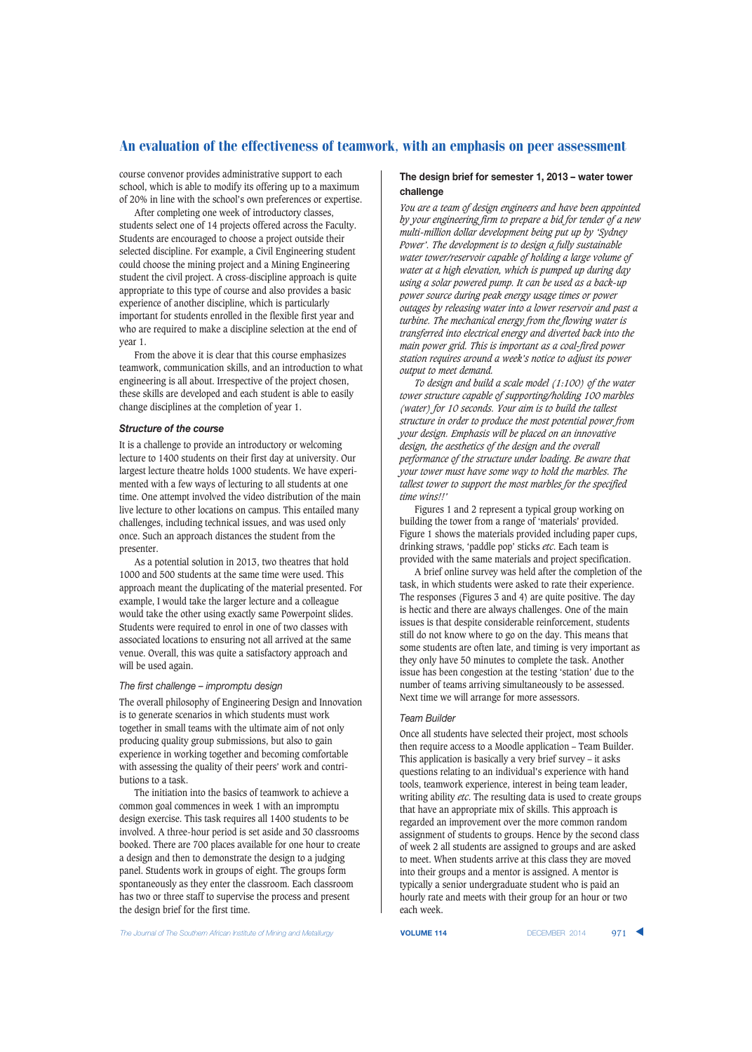course convenor provides administrative support to each school, which is able to modify its offering up to a maximum of 20% in line with the school's own preferences or expertise.

After completing one week of introductory classes, students select one of 14 projects offered across the Faculty. Students are encouraged to choose a project outside their selected discipline. For example, a Civil Engineering student could choose the mining project and a Mining Engineering student the civil project. A cross-discipline approach is quite appropriate to this type of course and also provides a basic experience of another discipline, which is particularly important for students enrolled in the flexible first year and who are required to make a discipline selection at the end of year 1.

From the above it is clear that this course emphasizes teamwork, communication skills, and an introduction to what engineering is all about. Irrespective of the project chosen, these skills are developed and each student is able to easily change disciplines at the completion of year 1.

#### *Structure of the course*

It is a challenge to provide an introductory or welcoming lecture to 1400 students on their first day at university. Our largest lecture theatre holds 1000 students. We have experimented with a few ways of lecturing to all students at one time. One attempt involved the video distribution of the main live lecture to other locations on campus. This entailed many challenges, including technical issues, and was used only once. Such an approach distances the student from the presenter.

As a potential solution in 2013, two theatres that hold 1000 and 500 students at the same time were used. This approach meant the duplicating of the material presented. For example, I would take the larger lecture and a colleague would take the other using exactly same Powerpoint slides. Students were required to enrol in one of two classes with associated locations to ensuring not all arrived at the same venue. Overall, this was quite a satisfactory approach and will be used again.

#### *The first challenge – impromptu design*

The overall philosophy of Engineering Design and Innovation is to generate scenarios in which students must work together in small teams with the ultimate aim of not only producing quality group submissions, but also to gain experience in working together and becoming comfortable with assessing the quality of their peers' work and contributions to a task.

The initiation into the basics of teamwork to achieve a common goal commences in week 1 with an impromptu design exercise. This task requires all 1400 students to be involved. A three-hour period is set aside and 30 classrooms booked. There are 700 places available for one hour to create a design and then to demonstrate the design to a judging panel. Students work in groups of eight. The groups form spontaneously as they enter the classroom. Each classroom has two or three staff to supervise the process and present the design brief for the first time.

## **The design brief for semester 1, 2013 – water tower challenge**

*You are a team of design engineers and have been appointed by your engineering firm to prepare a bid for tender of a new multi-million dollar development being put up by 'Sydney Power'. The development is to design a fully sustainable water tower/reservoir capable of holding a large volume of water at a high elevation, which is pumped up during day using a solar powered pump. It can be used as a back-up power source during peak energy usage times or power outages by releasing water into a lower reservoir and past a turbine. The mechanical energy from the flowing water is transferred into electrical energy and diverted back into the main power grid. This is important as a coal-fired power station requires around a week's notice to adjust its power output to meet demand.*

*To design and build a scale model (1:100) of the water tower structure capable of supporting/holding 100 marbles (water) for 10 seconds. Your aim is to build the tallest structure in order to produce the most potential power from your design. Emphasis will be placed on an innovative design, the aesthetics of the design and the overall performance of the structure under loading. Be aware that your tower must have some way to hold the marbles. The tallest tower to support the most marbles for the specified time wins!!'*

Figures 1 and 2 represent a typical group working on building the tower from a range of 'materials' provided. Figure 1 shows the materials provided including paper cups, drinking straws, 'paddle pop' sticks *etc*. Each team is provided with the same materials and project specification.

A brief online survey was held after the completion of the task, in which students were asked to rate their experience. The responses (Figures 3 and 4) are quite positive. The day is hectic and there are always challenges. One of the main issues is that despite considerable reinforcement, students still do not know where to go on the day. This means that some students are often late, and timing is very important as they only have 50 minutes to complete the task. Another issue has been congestion at the testing 'station' due to the number of teams arriving simultaneously to be assessed. Next time we will arrange for more assessors.

#### *Team Builder*

Once all students have selected their project, most schools then require access to a Moodle application – Team Builder. This application is basically a very brief survey – it asks questions relating to an individual's experience with hand tools, teamwork experience, interest in being team leader, writing ability *etc*. The resulting data is used to create groups that have an appropriate mix of skills. This approach is regarded an improvement over the more common random assignment of students to groups. Hence by the second class of week 2 all students are assigned to groups and are asked to meet. When students arrive at this class they are moved into their groups and a mentor is assigned. A mentor is typically a senior undergraduate student who is paid an hourly rate and meets with their group for an hour or two each week.

**The Journal of The Southern African Institute of Mining and Metallurgy <b>VOLUME 114 VOLUME 114 DECEMBER 2014** 971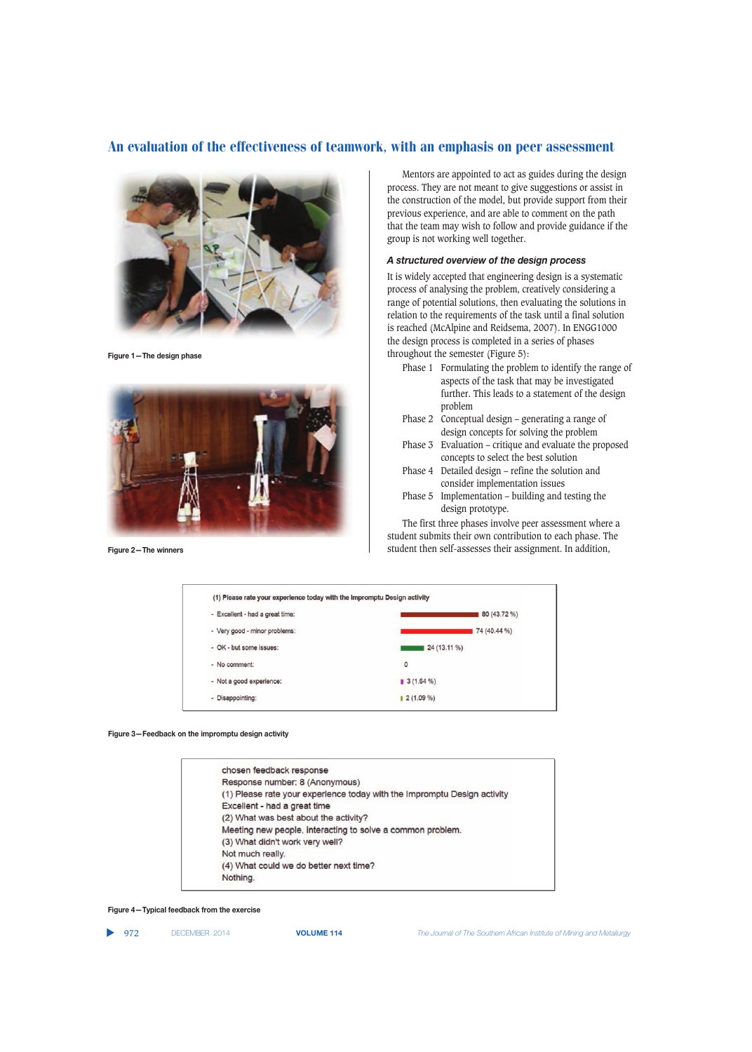

**Figure 1—The design phase**



**Figure 2—The winners**

Mentors are appointed to act as guides during the design process. They are not meant to give suggestions or assist in the construction of the model, but provide support from their previous experience, and are able to comment on the path that the team may wish to follow and provide guidance if the group is not working well together.

## *A structured overview of the design process*

It is widely accepted that engineering design is a systematic process of analysing the problem, creatively considering a range of potential solutions, then evaluating the solutions in relation to the requirements of the task until a final solution is reached (McAlpine and Reidsema, 2007). In ENGG1000 the design process is completed in a series of phases throughout the semester (Figure 5):

- Phase 1 Formulating the problem to identify the range of aspects of the task that may be investigated further. This leads to a statement of the design problem
- Phase 2 Conceptual design generating a range of design concepts for solving the problem
- Phase 3 Evaluation critique and evaluate the proposed concepts to select the best solution
- Phase 4 Detailed design refine the solution and consider implementation issues
- Phase 5 Implementation building and testing the design prototype.

The first three phases involve peer assessment where a student submits their own contribution to each phase. The student then self-assesses their assignment. In addition,

| (1) Please rate your experience today with the Impromptu Design activity |              |
|--------------------------------------------------------------------------|--------------|
| - Excellent - had a great time:                                          | 80 (43.72 %) |
| - Very good - minor problems:                                            | 74 (40.44 %) |
| - OK - but some issues:                                                  | 24 (13.11 %) |
| - No comment:                                                            | $\circ$      |
| - Not a good experience:                                                 | $3(1.64\%)$  |
| - Disappointing:                                                         | $2(1.09\%)$  |

**Figure 3—Feedback on the impromptu design activity**



#### **Figure 4—Typical feedback from the exercise**

▲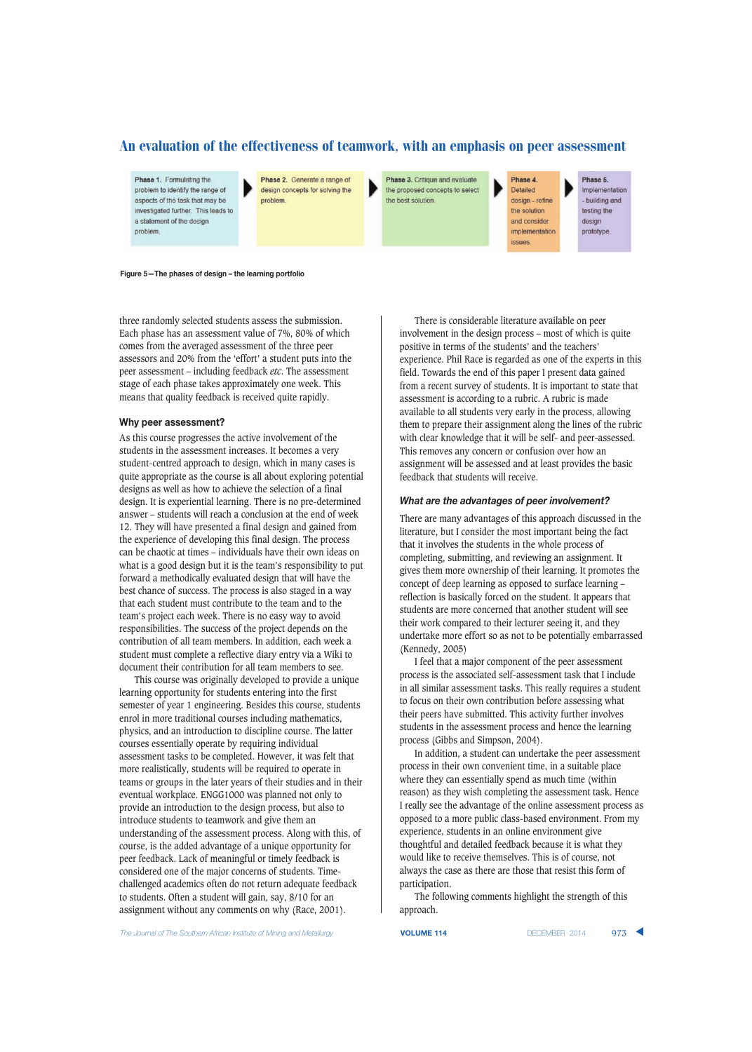Phase 1. Formulating the problem to identify the range of aspects of the task that may be investigated further. This leads to a statement of the design problem

Phase 2. Generate a range of design concepts for solving the problem.

Phase 3. Critique and evaluate the proposed concepts to select the best solution.

Phase 4. Detailed design - refine the solution and consider implementation

issues.

Phase 5. Implementation building and testing the design prototype.

**Figure 5—The phases of design – the learning portfolio**

three randomly selected students assess the submission. Each phase has an assessment value of 7%, 80% of which comes from the averaged assessment of the three peer assessors and 20% from the 'effort' a student puts into the peer assessment – including feedback *etc*. The assessment stage of each phase takes approximately one week. This means that quality feedback is received quite rapidly.

#### **Why peer assessment?**

As this course progresses the active involvement of the students in the assessment increases. It becomes a very student-centred approach to design, which in many cases is quite appropriate as the course is all about exploring potential designs as well as how to achieve the selection of a final design. It is experiential learning. There is no pre-determined answer – students will reach a conclusion at the end of week 12. They will have presented a final design and gained from the experience of developing this final design. The process can be chaotic at times – individuals have their own ideas on what is a good design but it is the team's responsibility to put forward a methodically evaluated design that will have the best chance of success. The process is also staged in a way that each student must contribute to the team and to the team's project each week. There is no easy way to avoid responsibilities. The success of the project depends on the contribution of all team members. In addition, each week a student must complete a reflective diary entry via a Wiki to document their contribution for all team members to see.

This course was originally developed to provide a unique learning opportunity for students entering into the first semester of year 1 engineering. Besides this course, students enrol in more traditional courses including mathematics, physics, and an introduction to discipline course. The latter courses essentially operate by requiring individual assessment tasks to be completed. However, it was felt that more realistically, students will be required to operate in teams or groups in the later years of their studies and in their eventual workplace. ENGG1000 was planned not only to provide an introduction to the design process, but also to introduce students to teamwork and give them an understanding of the assessment process. Along with this, of course, is the added advantage of a unique opportunity for peer feedback. Lack of meaningful or timely feedback is considered one of the major concerns of students. Timechallenged academics often do not return adequate feedback to students. Often a student will gain, say, 8/10 for an assignment without any comments on why (Race, 2001).

There is considerable literature available on peer involvement in the design process – most of which is quite positive in terms of the students' and the teachers' experience. Phil Race is regarded as one of the experts in this field. Towards the end of this paper I present data gained from a recent survey of students. It is important to state that assessment is according to a rubric. A rubric is made available to all students very early in the process, allowing them to prepare their assignment along the lines of the rubric with clear knowledge that it will be self- and peer-assessed. This removes any concern or confusion over how an assignment will be assessed and at least provides the basic feedback that students will receive.

#### *What are the advantages of peer involvement?*

There are many advantages of this approach discussed in the literature, but I consider the most important being the fact that it involves the students in the whole process of completing, submitting, and reviewing an assignment. It gives them more ownership of their learning. It promotes the concept of deep learning as opposed to surface learning – reflection is basically forced on the student. It appears that students are more concerned that another student will see their work compared to their lecturer seeing it, and they undertake more effort so as not to be potentially embarrassed (Kennedy, 2005)

I feel that a major component of the peer assessment process is the associated self-assessment task that I include in all similar assessment tasks. This really requires a student to focus on their own contribution before assessing what their peers have submitted. This activity further involves students in the assessment process and hence the learning process (Gibbs and Simpson, 2004).

In addition, a student can undertake the peer assessment process in their own convenient time, in a suitable place where they can essentially spend as much time (within reason) as they wish completing the assessment task. Hence I really see the advantage of the online assessment process as opposed to a more public class-based environment. From my experience, students in an online environment give thoughtful and detailed feedback because it is what they would like to receive themselves. This is of course, not always the case as there are those that resist this form of participation.

The following comments highlight the strength of this approach.

*The Journal of The Southern African Institute of Mining and Metallurgy* **VOLUME 114** DECEMBER 2014 973 ▲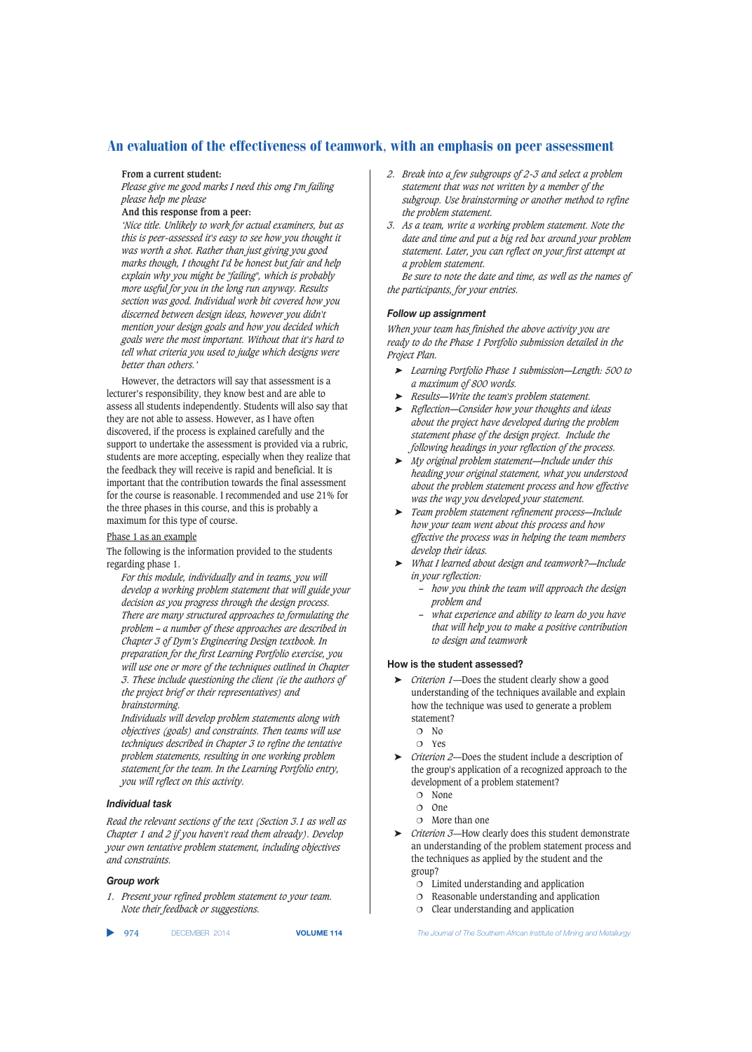#### **From a current student:**

*Please give me good marks I need this omg I'm failing please help me please*

## **And this response from a peer:**

*'Nice title. Unlikely to work for actual examiners, but as this is peer-assessed it's easy to see how you thought it was worth a shot. Rather than just giving you good marks though, I thought I'd be honest but fair and help explain why you might be "failing", which is probably more useful for you in the long run anyway. Results section was good. Individual work bit covered how you discerned between design ideas, however you didn't mention your design goals and how you decided which goals were the most important. Without that it's hard to tell what criteria you used to judge which designs were better than others.'*

However, the detractors will say that assessment is a lecturer's responsibility, they know best and are able to assess all students independently. Students will also say that they are not able to assess. However, as I have often discovered, if the process is explained carefully and the support to undertake the assessment is provided via a rubric, students are more accepting, especially when they realize that the feedback they will receive is rapid and beneficial. It is important that the contribution towards the final assessment for the course is reasonable. I recommended and use 21% for the three phases in this course, and this is probably a maximum for this type of course.

Phase 1 as an example

The following is the information provided to the students regarding phase 1.

*For this module, individually and in teams, you will develop a working problem statement that will guide your decision as you progress through the design process. There are many structured approaches to formulating the problem – a number of these approaches are described in Chapter 3 of Dym's Engineering Design textbook. In preparation for the first Learning Portfolio exercise, you will use one or more of the techniques outlined in Chapter 3. These include questioning the client (ie the authors of the project brief or their representatives) and brainstorming.*

*Individuals will develop problem statements along with objectives (goals) and constraints. Then teams will use techniques described in Chapter 3 to refine the tentative problem statements, resulting in one working problem statement for the team. In the Learning Portfolio entry, you will reflect on this activity.*

## *Individual task*

*Read the relevant sections of the text (Section 3.1 as well as Chapter 1 and 2 if you haven't read them already). Develop your own tentative problem statement, including objectives and constraints.*

## *Group work*

*1. Present your refined problem statement to your team. Note their feedback or suggestions.*

▲

- *2. Break into a few subgroups of 2-3 and select a problem statement that was not written by a member of the subgroup. Use brainstorming or another method to refine the problem statement.*
- *3. As a team, write a working problem statement. Note the date and time and put a big red box around your problem statement. Later, you can reflect on your first attempt at a problem statement.*

*Be sure to note the date and time, as well as the names of the participants, for your entries.*

## *Follow up assignment*

*When your team has finished the above activity you are ready to do the Phase 1 Portfolio submission detailed in the Project Plan.*

- ➤ *Learning Portfolio Phase 1 submission—Length: 500 to a maximum of 800 words.*
- ➤ *Results—Write the team's problem statement.*
- ➤ *Reflection—Consider how your thoughts and ideas about the project have developed during the problem statement phase of the design project. Include the following headings in your reflection of the process.*
- ➤ *My original problem statement—Include under this heading your original statement, what you understood about the problem statement process and how effective was the way you developed your statement.*
- ➤ *Team problem statement refinement process—Include how your team went about this process and how effective the process was in helping the team members develop their ideas.*
- ➤ *What I learned about design and teamwork?—Include in your reflection:*
	- *how you think the team will approach the design problem and*
	- *what experience and ability to learn do you have that will help you to make a positive contribution to design and teamwork*

## **How is the student assessed?**

- ➤ *Criterion 1*—Does the student clearly show a good understanding of the techniques available and explain how the technique was used to generate a problem statement?
	- $O$  No
	- Yes
- ➤ *Criterion 2*—Does the student include a description of the group's application of a recognized approach to the development of a problem statement?
	- O None
	- One
	- More than one
- ➤ *Criterion 3*—How clearly does this student demonstrate an understanding of the problem statement process and the techniques as applied by the student and the group?
	- Limited understanding and application
	- Reasonable understanding and application
	- $O$  Clear understanding and application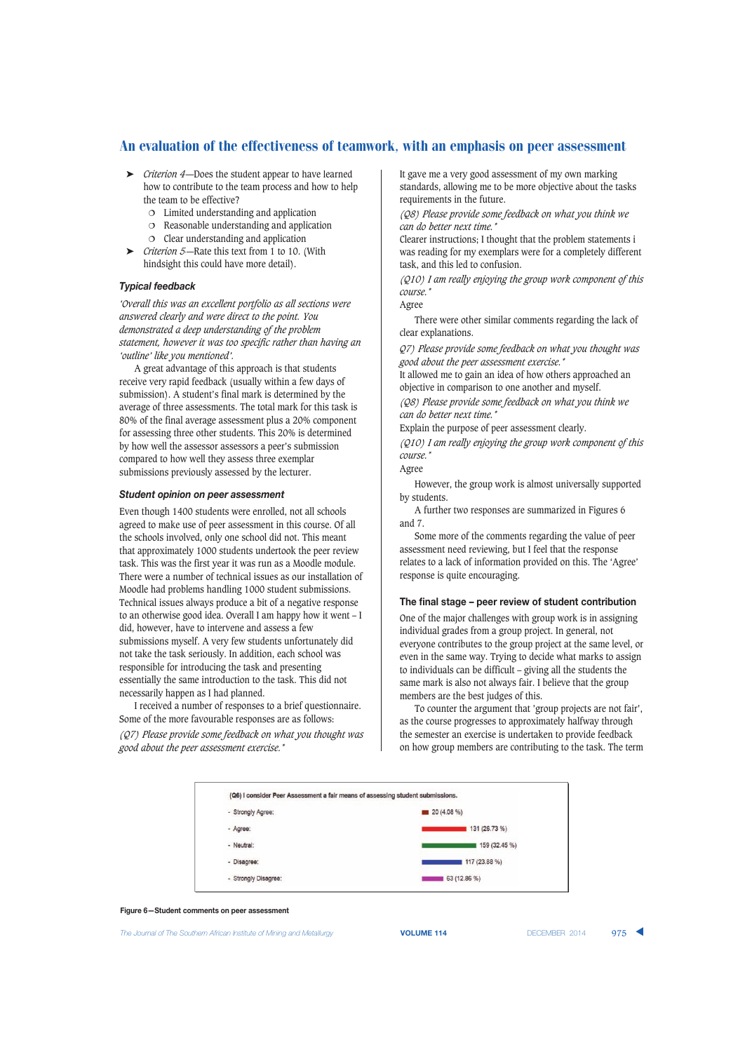- ➤ *Criterion 4*—Does the student appear to have learned how to contribute to the team process and how to help the team to be effective?
	- Limited understanding and application
	- Reasonable understanding and application
	- $O$  Clear understanding and application
- ➤ *Criterion 5*—Rate this text from 1 to 10. (With hindsight this could have more detail).

#### *Typical feedback*

*'Overall this was an excellent portfolio as all sections were answered clearly and were direct to the point. You demonstrated a deep understanding of the problem statement, however it was too specific rather than having an 'outline' like you mentioned'.*

A great advantage of this approach is that students receive very rapid feedback (usually within a few days of submission). A student's final mark is determined by the average of three assessments. The total mark for this task is 80% of the final average assessment plus a 20% component for assessing three other students. This 20% is determined by how well the assessor assessors a peer's submission compared to how well they assess three exemplar submissions previously assessed by the lecturer.

#### *Student opinion on peer assessment*

Even though 1400 students were enrolled, not all schools agreed to make use of peer assessment in this course. Of all the schools involved, only one school did not. This meant that approximately 1000 students undertook the peer review task. This was the first year it was run as a Moodle module. There were a number of technical issues as our installation of Moodle had problems handling 1000 student submissions. Technical issues always produce a bit of a negative response to an otherwise good idea. Overall I am happy how it went – I did, however, have to intervene and assess a few submissions myself. A very few students unfortunately did not take the task seriously. In addition, each school was responsible for introducing the task and presenting essentially the same introduction to the task. This did not necessarily happen as I had planned.

I received a number of responses to a brief questionnaire. Some of the more favourable responses are as follows: *(Q7) Please provide some feedback on what you thought was good about the peer assessment exercise.\**

It gave me a very good assessment of my own marking standards, allowing me to be more objective about the tasks requirements in the future.

*(Q8) Please provide some feedback on what you think we can do better next time.\**

Clearer instructions; I thought that the problem statements i was reading for my exemplars were for a completely different task, and this led to confusion.

*(Q10) I am really enjoying the group work component of this course.\**

Agree

There were other similar comments regarding the lack of clear explanations.

*Q7) Please provide some feedback on what you thought was good about the peer assessment exercise.\**

It allowed me to gain an idea of how others approached an objective in comparison to one another and myself.

*(Q8) Please provide some feedback on what you think we can do better next time.\**

Explain the purpose of peer assessment clearly.

*(Q10) I am really enjoying the group work component of this course.\**

Agree

However, the group work is almost universally supported by students.

A further two responses are summarized in Figures 6 and 7.

Some more of the comments regarding the value of peer assessment need reviewing, but I feel that the response relates to a lack of information provided on this. The 'Agree' response is quite encouraging.

#### **The final stage – peer review of student contribution**

One of the major challenges with group work is in assigning individual grades from a group project. In general, not everyone contributes to the group project at the same level, or even in the same way. Trying to decide what marks to assign to individuals can be difficult – giving all the students the same mark is also not always fair. I believe that the group members are the best judges of this.

To counter the argument that 'group projects are not fair', as the course progresses to approximately halfway through the semester an exercise is undertaken to provide feedback on how group members are contributing to the task. The term



**Figure 6—Student comments on peer assessment**

*The Journal of The Southern African Institute of Mining and Metallurgy* **VOLUME 114** DECEMBER 2014 975 ▲

|  |  | <b>VOLUME 114</b> |
|--|--|-------------------|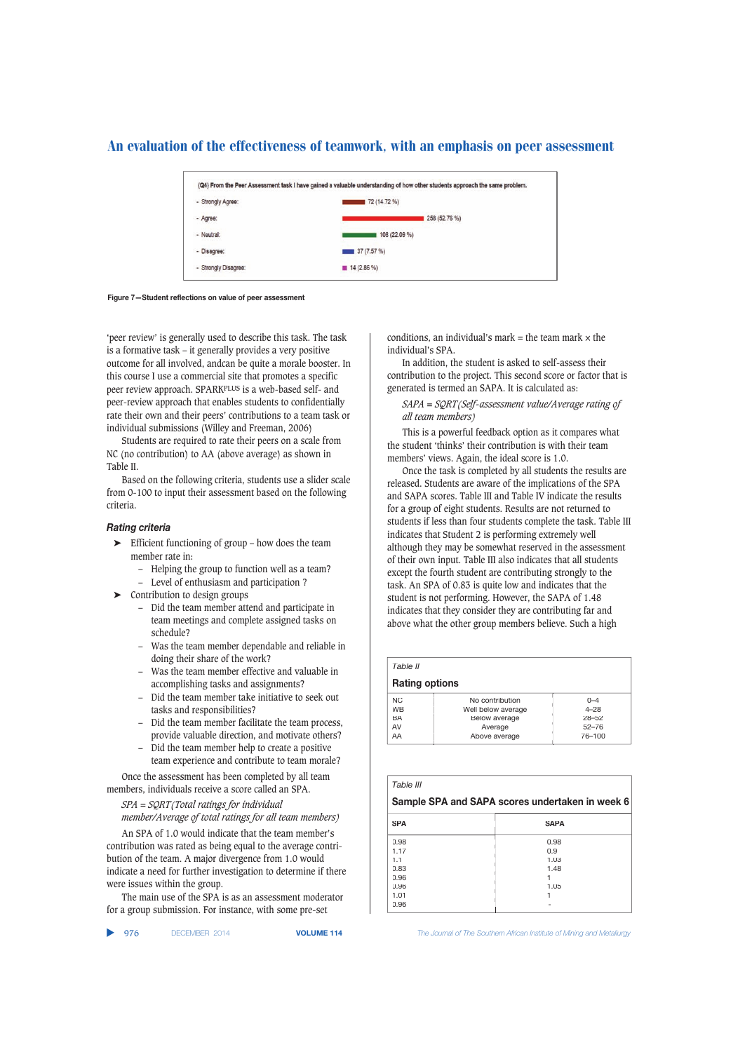

**Figure 7—Student reflections on value of peer assessment**

'peer review' is generally used to describe this task. The task is a formative task – it generally provides a very positive outcome for all involved, andcan be quite a morale booster. In this course I use a commercial site that promotes a specific peer review approach. SPARKPLUS is a web-based self- and peer-review approach that enables students to confidentially rate their own and their peers' contributions to a team task or individual submissions (Willey and Freeman, 2006)

Students are required to rate their peers on a scale from NC (no contribution) to AA (above average) as shown in Table II.

Based on the following criteria, students use a slider scale from 0-100 to input their assessment based on the following criteria.

### *Rating criteria*

- ➤ Efficient functioning of group how does the team member rate in:
	- Helping the group to function well as a team?
	- Level of enthusiasm and participation ?
- ➤ Contribution to design groups
	- Did the team member attend and participate in team meetings and complete assigned tasks on schedule?
	- Was the team member dependable and reliable in doing their share of the work?
	- Was the team member effective and valuable in accomplishing tasks and assignments?
	- Did the team member take initiative to seek out tasks and responsibilities?
	- Did the team member facilitate the team process, provide valuable direction, and motivate others?
	- Did the team member help to create a positive team experience and contribute to team morale?

Once the assessment has been completed by all team members, individuals receive a score called an SPA.

*SPA = SQRT(Total ratings for individual member/Average of total ratings for all team members)*

An SPA of 1.0 would indicate that the team member's contribution was rated as being equal to the average contribution of the team. A major divergence from 1.0 would indicate a need for further investigation to determine if there were issues within the group.

The main use of the SPA is as an assessment moderator for a group submission. For instance, with some pre-set

conditions, an individual's mark  $=$  the team mark  $\times$  the individual's SPA.

In addition, the student is asked to self-assess their contribution to the project. This second score or factor that is generated is termed an SAPA. It is calculated as:

*SAPA = SQRT(Self-assessment value/Average rating of all team members)*

This is a powerful feedback option as it compares what the student 'thinks' their contribution is with their team members' views. Again, the ideal score is 1.0.

Once the task is completed by all students the results are released. Students are aware of the implications of the SPA and SAPA scores. Table III and Table IV indicate the results for a group of eight students. Results are not returned to students if less than four students complete the task. Table III indicates that Student 2 is performing extremely well although they may be somewhat reserved in the assessment of their own input. Table III also indicates that all students except the fourth student are contributing strongly to the task. An SPA of 0.83 is quite low and indicates that the student is not performing. However, the SAPA of 1.48 indicates that they consider they are contributing far and above what the other group members believe. Such a high

| Table II              |                    |           |  |
|-----------------------|--------------------|-----------|--|
| <b>Rating options</b> |                    |           |  |
| NC.                   | No contribution    | $0 - 4$   |  |
| <b>WB</b>             | Well below average | $4 - 28$  |  |
| BA                    | Below average      | $28 - 52$ |  |
| AV                    | Average            | $52 - 76$ |  |
| AA                    | Above average      | 76-100    |  |

| Table III                                       |             |  |  |
|-------------------------------------------------|-------------|--|--|
| Sample SPA and SAPA scores undertaken in week 6 |             |  |  |
| <b>SPA</b>                                      | <b>SAPA</b> |  |  |
| 0.98                                            | 0.98        |  |  |
| 1.17                                            | 0.9         |  |  |
| 1.1                                             | 1.03        |  |  |
| 0.83                                            | 1.48        |  |  |
| 0.96                                            |             |  |  |
| 0.96                                            | 1.05        |  |  |
| 1.01                                            |             |  |  |
| 0.96                                            |             |  |  |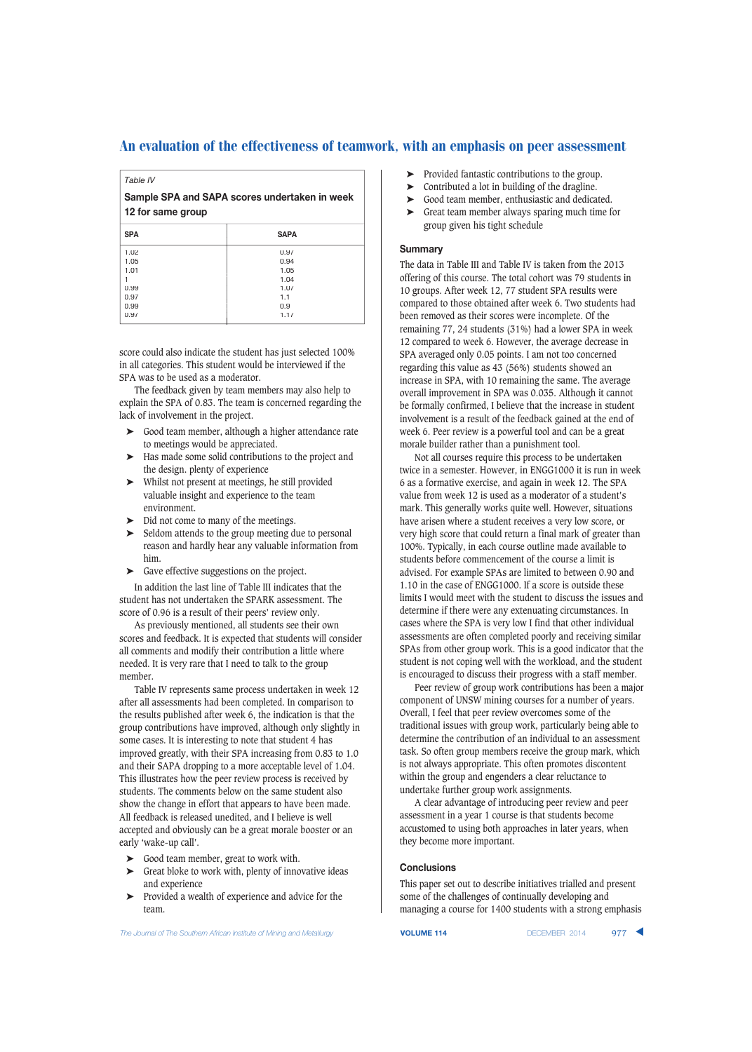*Table IV*

**Sample SPA and SAPA scores undertaken in week 12 for same group**

| <b>SPA</b> | <b>SAPA</b> |  |
|------------|-------------|--|
| 1.02       | 0.97        |  |
| 1.05       | 0.94        |  |
| 1.01       | 1.05        |  |
|            | 1.04        |  |
| 0.99       | 1.07        |  |
| 0.97       | 1.1         |  |
| 0.99       | 0.9         |  |
| 0.97       | 1.17        |  |
|            |             |  |

score could also indicate the student has just selected 100% in all categories. This student would be interviewed if the SPA was to be used as a moderator.

The feedback given by team members may also help to explain the SPA of 0.83. The team is concerned regarding the lack of involvement in the project.

- Good team member, although a higher attendance rate to meetings would be appreciated.
- Has made some solid contributions to the project and the design. plenty of experience
- ➤ Whilst not present at meetings, he still provided valuable insight and experience to the team environment.
- Did not come to many of the meetings.
- Seldom attends to the group meeting due to personal reason and hardly hear any valuable information from him.
- ➤ Gave effective suggestions on the project.

In addition the last line of Table III indicates that the student has not undertaken the SPARK assessment. The score of 0.96 is a result of their peers' review only.

As previously mentioned, all students see their own scores and feedback. It is expected that students will consider all comments and modify their contribution a little where needed. It is very rare that I need to talk to the group member.

Table IV represents same process undertaken in week 12 after all assessments had been completed. In comparison to the results published after week 6, the indication is that the group contributions have improved, although only slightly in some cases. It is interesting to note that student 4 has improved greatly, with their SPA increasing from 0.83 to 1.0 and their SAPA dropping to a more acceptable level of 1.04. This illustrates how the peer review process is received by students. The comments below on the same student also show the change in effort that appears to have been made. All feedback is released unedited, and I believe is well accepted and obviously can be a great morale booster or an early 'wake-up call'.

- ➤ Good team member, great to work with.
- ➤ Great bloke to work with, plenty of innovative ideas and experience
- ➤ Provided a wealth of experience and advice for the team.
- ▶ Provided fantastic contributions to the group.
- ➤ Contributed a lot in building of the dragline.
- Good team member, enthusiastic and dedicated.
- ➤ Great team member always sparing much time for group given his tight schedule

#### **Summary**

The data in Table III and Table IV is taken from the 2013 offering of this course. The total cohort was 79 students in 10 groups. After week 12, 77 student SPA results were compared to those obtained after week 6. Two students had been removed as their scores were incomplete. Of the remaining 77, 24 students (31%) had a lower SPA in week 12 compared to week 6. However, the average decrease in SPA averaged only 0.05 points. I am not too concerned regarding this value as 43 (56%) students showed an increase in SPA, with 10 remaining the same. The average overall improvement in SPA was 0.035. Although it cannot be formally confirmed, I believe that the increase in student involvement is a result of the feedback gained at the end of week 6. Peer review is a powerful tool and can be a great morale builder rather than a punishment tool.

Not all courses require this process to be undertaken twice in a semester. However, in ENGG1000 it is run in week 6 as a formative exercise, and again in week 12. The SPA value from week 12 is used as a moderator of a student's mark. This generally works quite well. However, situations have arisen where a student receives a very low score, or very high score that could return a final mark of greater than 100%. Typically, in each course outline made available to students before commencement of the course a limit is advised. For example SPAs are limited to between 0.90 and 1.10 in the case of ENGG1000. If a score is outside these limits I would meet with the student to discuss the issues and determine if there were any extenuating circumstances. In cases where the SPA is very low I find that other individual assessments are often completed poorly and receiving similar SPAs from other group work. This is a good indicator that the student is not coping well with the workload, and the student is encouraged to discuss their progress with a staff member.

Peer review of group work contributions has been a major component of UNSW mining courses for a number of years. Overall, I feel that peer review overcomes some of the traditional issues with group work, particularly being able to determine the contribution of an individual to an assessment task. So often group members receive the group mark, which is not always appropriate. This often promotes discontent within the group and engenders a clear reluctance to undertake further group work assignments.

A clear advantage of introducing peer review and peer assessment in a year 1 course is that students become accustomed to using both approaches in later years, when they become more important.

## **Conclusions**

This paper set out to describe initiatives trialled and present some of the challenges of continually developing and managing a course for 1400 students with a strong emphasis

*The Journal of The Southern African Institute of Mining and Metallurgy* **VOLUME 114** DECEMBER 2014 977 ▲